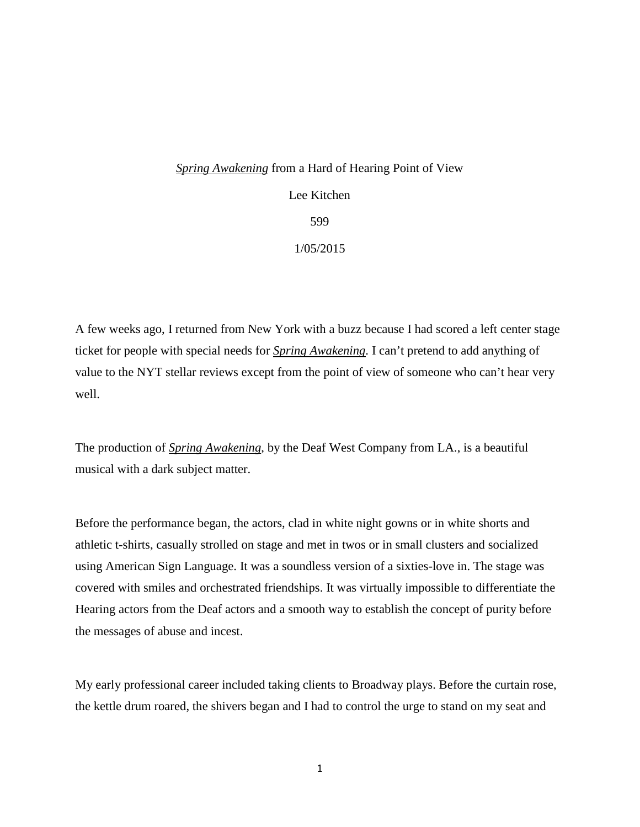## *Spring Awakening* from a Hard of Hearing Point of View Lee Kitchen 599 1/05/2015

A few weeks ago, I returned from New York with a buzz because I had scored a left center stage ticket for people with special needs for *Spring Awakening*. I can't pretend to add anything of value to the NYT stellar reviews except from the point of view of someone who can't hear very well.

The production of *Spring Awakening*, by the Deaf West Company from LA., is a beautiful musical with a dark subject matter.

Before the performance began, the actors, clad in white night gowns or in white shorts and athletic t-shirts, casually strolled on stage and met in twos or in small clusters and socialized using American Sign Language. It was a soundless version of a sixties-love in. The stage was covered with smiles and orchestrated friendships. It was virtually impossible to differentiate the Hearing actors from the Deaf actors and a smooth way to establish the concept of purity before the messages of abuse and incest.

My early professional career included taking clients to Broadway plays. Before the curtain rose, the kettle drum roared, the shivers began and I had to control the urge to stand on my seat and